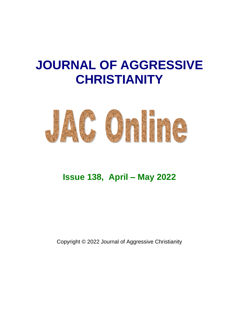# **JOURNAL OF AGGRESSIVE CHRISTIANITY**



# **Issue 138, April – May 2022**

Copyright © 2022 Journal of Aggressive Christianity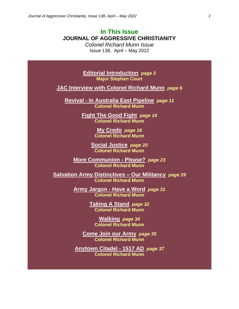# **In This Issue JOURNAL OF AGGRESSIVE CHRISTIANITY**

*Colonel Richard Munn Issue* Issue 138, April – May 2022

**Editorial Introduction** *page 3* **Major Stephen Court**

**JAC Interview with Colonel Richard Munn** *page 6*

**Revival - In Australia East Pipeline** *page 11* **Colonel Richard Munn**

> **Fight The Good Fight** *page 14* **Colonel Richard Munn**

> > **My Credo** *page 16* **Colonel Richard Munn**

**Social Justice** *page 20* **Colonel Richard Munn**

**More Communion - Please?** *page 23* **Colonel Richard Munn**

**Salvation Army Distinctives – Our Militancy** *page 29* **Colonel Richard Munn**

> **Army Jargon - Have a Word** *page 31* **Colonel Richard Munn**

> > **Taking A Stand** *page 32* **Colonel Richard Munn**

**Walking** *page 34* **Colonel Richard Munn**

**Come Join our Army** *page 35* **Colonel Richard Munn**

**Anytown Citadel - 1517 AD** *page 37* **Colonel Richard Munn**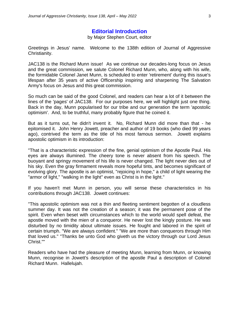#### **Editorial Introduction**

by Major Stephen Court, editor

Greetings in Jesus' name. Welcome to the 138th edition of Journal of Aggressive Christianity.

JAC138 is the Richard Munn issue! As we continue our decades-long focus on Jesus and the great commission, we salute Colonel Richard Munn, who, along with his wife, the formidable Colonel Janet Munn, is scheduled to enter 'retirement' during this issue's lifespan after 35 years of active Officership inspiring and sharpening The Salvation Army's focus on Jesus and this great commission.

So much can be said of the good Colonel, and readers can hear a lot of it between the lines of the 'pages' of JAC138. For our purposes here, we will highlight just one thing. Back in the day, Munn popularised for our tribe and our generation the term 'apostolic optimism'. And, to be truthful, many probably figure that he coined it.

But as it turns out, he didn't invent it. No, Richard Munn did more than that - he epitomised it. John Henry Jowett, preacher and author of 19 books (who died 99 years ago), contrived the term as the title of his most famous sermon. Jowett explains apostolic optimism in its introduction:

"That is a characteristic expression of the fine, genial optimism of the Apostle Paul. His eyes are always illumined. The cheery tone is never absent from his speech. The buoyant and springy movement of his life is never changed. The light never dies out of his sky. Even the gray firmament reveals more hopeful tints, and becomes significant of evolving glory. The apostle is an optimist, "rejoicing in hope," a child of light wearing the "armor of light," "walking in the light" even as Christ is in the light."

If you haven't met Munn in person, you will sense these characteristics in his contributions through JAC138. Jowett continues:

"This apostolic optimism was not a thin and fleeting sentiment begotten of a cloudless summer day. It was not the creation of a season; it was the permanent pose of the spirit. Even when beset with circumstances which to the world would spell defeat, the apostle moved with the mien of a conqueror. He never lost the kingly posture. He was disturbed by no timidity about ultimate issues. He fought and labored in the spirit of certain triumph. "We are always confident." "We are more than conquerors through Him that loved us." "Thanks be unto God who giveth us the victory through our Lord Jesus Christ.""

Readers who have had the pleasure of meeting Munn, learning from Munn, or knowing Munn, recognise in Jowett's description of the apostle Paul a description of Colonel Richard Munn. Hallelujah.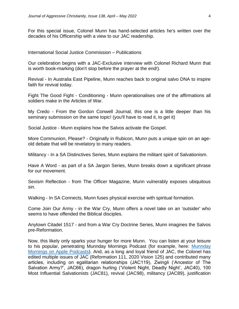For this special issue, Colonel Munn has hand-selected articles he's written over the decades of his Officership with a view to our JAC readership.

International Social Justice Commission – Publications

Our celebration begins with a JAC-Exclusive interview with Colonel Richard Munn that is worth book-marking (don't stop before the prayer at the end!).

Revival - In Australia East Pipeline, Munn reaches back to original salvo DNA to inspire faith for revival today.

Fight The Good Fight - Conditioning - Munn operationalises one of the affirmations all soldiers make in the Articles of War.

My Credo - From the Gordon Conwell Journal, this one is a little deeper than his seminary submission on the same topic! (you'll have to read it, to get it)

Social Justice - Munn explains how the Salvos activate the Gospel.

More Communion, Please? - Originally in Rubicon, Munn puts a unique spin on an ageold debate that will be revelatory to many readers.

Militancy - In a SA Distinctives Series, Munn explains the militant spirit of Salvationism.

Have A Word - as part of a SA Jargon Series, Munn breaks down a significant phrase for our movement.

Sexism Reflection - from The Officer Magazine, Munn vulnerably exposes ubiquitous sin.

Walking - In SA Connects, Munn fuses physical exercise with spiritual formation.

Come Join Our Army - in the War Cry, Munn offers a novel take on an 'outsider' who seems to have offended the Biblical disciples.

Anytown Citadel 1517 - and from a War Cry Doctrine Series, Munn imagines the Salvos pre-Reformation.

Now, this likely only sparks your hunger for more Munn. You can listen at your leisure to his popular, penetrating [Munnday](https://podcasts.apple.com/us/podcast/munnday-mornings/id1416057781) Mornings Podcast (for example, here: Munnday [Mornings on Apple Podcasts\)](https://podcasts.apple.com/us/podcast/munnday-mornings/id1416057781). And, as a long and loyal friend of JAC, the Colonel has edited multiple issues of JAC (Reformation 111, 2020 Vision 125) and contributed many articles, including on egalitarian relationships (JAC119), Zwingli ('Ancestor of The Salvation Army?', JAC66), dragon hurling ('Violent Night, Deadly Night', JAC40), 100 Most Influential Salvationists (JAC81), revival (JAC98), militancy (JAC89), justification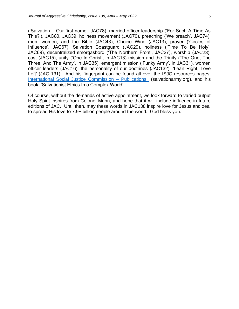('Salvation – Our first name', JAC78), married officer leadership ('For Such A Time As This?'), JAC80, JAC39, holiness movement (JAC70), preaching ('We preach', JAC74), men, women, and the Bible (JAC43), Choice Wine (JAC13), prayer ('Circles of Influence', JAC67), Salvation Coastguard (JAC29), holiness ('Time To Be Holy', JAC69), decentralized smorgasbord ('The Northern Front', JAC27), worship (JAC23), cost (JAC15), unity ('One In Christ', in JAC13) mission and the Trinity ('The One, The Three, And The Army', in JAC35), emergent mission ('Funky Army', in JAC31), women officer leaders (JAC16), the personality of our doctrines (JAC132), 'Lean Right, Love Left' (JAC 131). And his fingerprint can be found all over the ISJC resources pages: [International Social Justice Commission –](https://salvationarmy.org/isjc/publications_and_research) Publications (salvationarmy.org), and his book, 'Salvationist Ethics In a Complex World'.

Of course, without the demands of active appointment, we look forward to varied output Holy Spirit inspires from Colonel Munn, and hope that it will include influence in future editions of JAC. Until then, may these words in JAC138 inspire love for Jesus and zeal to spread His love to 7.9+ billion people around the world. God bless you.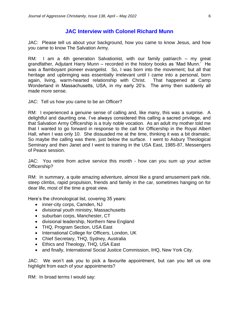### **JAC Interview with Colonel Richard Munn**

JAC: Please tell us about your background, how you came to know Jesus, and how you came to know The Salvation Army.

RM: I am a 4th generation Salvationist, with our family patriarch – my great grandfather, Adjutant Harry Munn – recorded in the history books as 'Mad Munn.' He was a flamboyant pioneer evangelist. So, I was born into the movement; but all that heritage and upbringing was essentially irrelevant until I came into a personal, born again, living, warm-hearted relationship with Christ. That happened at Camp Wonderland in Massachusetts, USA, in my early 20's. The army then suddenly all made more sense.

JAC: Tell us how you came to be an Officer?

RM: I experienced a genuine sense of calling and, like many, this was a surprise. A delightful and daunting one. I've always considered this calling a sacred privilege, and that Salvation Army Officership is a truly noble vocation. As an adult my mother told me that I wanted to go forward in response to the call for Officership in the Royal Albert Hall, when I was only 10. She dissuaded me at the time, thinking it was a bit dramatic. So maybe the calling was there, just below the surface. I went to Asbury Theological Seminary and then Janet and I went to training in the USA East, 1985-87, Messengers of Peace session.

JAC: You retire from active service this month - how can you sum up your active Officership?

RM: In summary, a quite amazing adventure, almost like a grand amusement park ride, steep climbs, rapid propulsion, friends and family in the car, sometimes hanging on for dear life, most of the time a great view.

Here's the chronological list, covering 35 years:

- inner-city corps, Camden, NJ
- divisional youth ministry, Massachusetts
- suburban corps, Manchester, CT
- divisional leadership, Northern New England
- THQ, Program Section, USA East
- International College for Officers, London, UK
- Chief Secretary, THQ, Sydney, Australia
- Ethics and Theology, THQ, USA East
- and finally, International Social Justice Commission, IHQ, New York City.

JAC: We won't ask you to pick a favourite appointment, but can you tell us one highlight from each of your appointments?

RM: In broad terms I would say: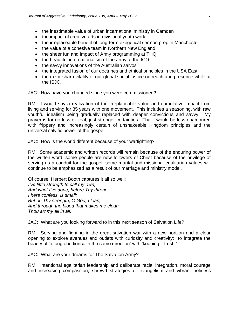- the inestimable value of urban incarnational ministry in Camden
- the impact of creative arts in divisional youth work
- the irreplaceable benefit of long-term exegetical sermon prep in Manchester
- the value of a cohesive team in Northern New England
- the sheer fun and impact of Army programming at THQ
- the beautiful internationalism of the army at the ICO
- the savvy innovations of the Australian salvos
- the integrated fusion of our doctrines and ethical principles in the USA East
- the razor-sharp vitality of our global social justice outreach and presence while at the ISJC.

JAC: How have you changed since you were commissioned?

RM: I would say a realization of the irreplaceable value and cumulative impact from living and serving for 35 years with one movement. This includes a seasoning, with raw youthful idealism being gradually replaced with deeper convictions and savvy. My prayer is for no loss of zeal, just stronger certainties. That I would be less enamoured with frippery and increasingly certain of unshakeable Kingdom principles and the universal salvific power of the gospel.

JAC: How is the world different because of your warfighting?

RM: Some academic and written records will remain because of the enduring power of the written word; some people are now followers of Christ because of the privilege of serving as a conduit for the gospel; some marital and missional egalitarian values will continue to be emphasized as a result of our marriage and ministry model.

Of course, Herbert Booth captures it all so well: *I've little strength to call my own, And what I've done, before Thy throne I here confess, is small; But on Thy strength, O God, I lean, And through the blood that makes me clean, Thou art my all in all.*

JAC: What are you looking forward to in this next season of Salvation Life?

RM: Serving and fighting in the great salvation war with a new horizon and a clear opening to explore avenues and outlets with curiosity and creativity; to integrate the beauty of 'a long obedience in the same direction' with 'keeping it fresh.'

JAC: What are your dreams for The Salvation Army?

RM: Intentional egalitarian leadership and deliberate racial integration, moral courage and increasing compassion, shrewd strategies of evangelism and vibrant holiness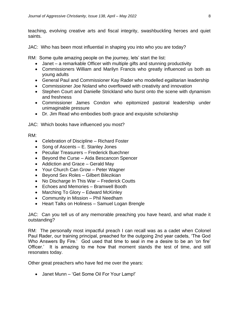teaching, evolving creative arts and fiscal integrity, swashbuckling heroes and quiet saints.

JAC: Who has been most influential in shaping you into who you are today?

RM: Some quite amazing people on the journey, lets' start the list:

- Janet a remarkable Officer with multiple gifts and stunning productivity
- Commissioners William and Marilyn Francis who greatly influenced us both as young adults
- General Paul and Commissioner Kay Rader who modelled egalitarian leadership
- Commissioner Joe Noland who overflowed with creativity and innovation
- Stephen Court and Danielle Strickland who burst onto the scene with dynamism and freshness
- Commissioner James Condon who epitomized pastoral leadership under unimaginable pressure
- Dr. Jim Read who embodies both grace and exquisite scholarship

JAC: Which books have influenced you most?

RM:

- Celebration of Discipline Richard Foster
- Song of Ascents E. Stanley Jones
- Peculiar Treasurers Frederick Buechner
- Beyond the Curse Aida Bescancon Spencer
- Addiction and Grace Gerald May
- Your Church Can Grow Peter Wagner
- Beyond Sex Roles Gilbert Bilezikian
- No Discharge In This War Frederick Coutts
- Echoes and Memories Bramwell Booth
- Marching To Glory Edward McKinley
- Community in Mission Phil Needham
- Heart Talks on Holiness Samuel Logan Brengle

JAC: Can you tell us of any memorable preaching you have heard, and what made it outstanding?

RM: The personally most impactful preach I can recall was as a cadet when Colonel Paul Rader, our training principal, preached for the outgoing 2nd year cadets, 'The God Who Answers By Fire.' God used that time to seal in me a desire to be an 'on fire' Officer.' It is amazing to me how that moment stands the test of time, and still resonates today.

Other great preachers who have fed me over the years:

• Janet Munn – 'Get Some Oil For Your Lamp!'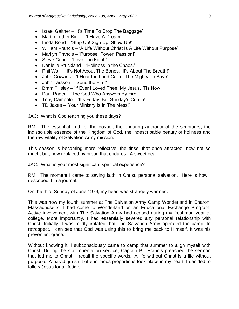- Israel Gaither 'It's Time To Drop The Baggage'
- Martin Luther King 'I Have A Dream!'
- Linda Bond 'Step Up! Sign Up! Show Up!'
- William Francis 'A Life Without Christ Is A Life Without Purpose'
- Marilyn Francis 'Purpose! Power! Passion!'
- Steve Court 'Love The Fight!'
- Danielle Strickland 'Holiness in the Chaos.'
- Phil Wall 'It's Not About The Bones. It's About The Breath!'
- John Gowans 'I Hear the Loud Call of The Mighty To Save!'
- John Larsson 'Send the Fire!'
- Bram Tillsley 'If Ever I Loved Thee, My Jesus, 'Tis Now!'
- Paul Rader 'The God Who Answers By Fire!'
- Tony Campolo 'It's Friday, But Sunday's Comin!'
- TD Jakes 'Your Ministry Is In The Mess!'

JAC: What is God teaching you these days?

RM: The essential truth of the gospel, the enduring authority of the scriptures, the indissoluble essence of the Kingdom of God, the indescribable beauty of holiness and the raw vitality of Salvation Army mission.

This season is becoming more reflective, the tinsel that once attracted, now not so much; but, now replaced by bread that endures. A sweet deal.

JAC: What is your most significant spiritual experience?

RM: The moment I came to saving faith in Christ, personal salvation. Here is how I described it in a journal:

On the third Sunday of June 1979, my heart was strangely warmed.

This was now my fourth summer at The Salvation Army Camp Wonderland in Sharon, Massachusetts. I had come to Wonderland on an Educational Exchange Program. Active involvement with The Salvation Army had ceased during my freshman year at college. More importantly, I had essentially severed any personal relationship with Christ. Initially, I was mildly irritated that The Salvation Army operated the camp. In retrospect, I can see that God was using this to bring me back to Himself. It was his prevenient grace.

Without knowing it, I subconsciously came to camp that summer to align myself with Christ. During the staff orientation service, Captain Bill Francis preached the sermon that led me to Christ. I recall the specific words, 'A life without Christ is a life without purpose.' A paradigm shift of enormous proportions took place in my heart. I decided to follow Jesus for a lifetime.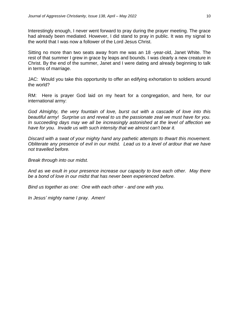Interestingly enough, I never went forward to pray during the prayer meeting. The grace had already been mediated. However, I did stand to pray in public. It was my signal to the world that I was now a follower of the Lord Jesus Christ.

Sitting no more than two seats away from me was an 18 -year-old, Janet White. The rest of that summer I grew in grace by leaps and bounds. I was clearly a new creature in Christ. By the end of the summer, Janet and I were dating and already beginning to talk in terms of marriage.

JAC: Would you take this opportunity to offer an edifying exhortation to soldiers around the world?

RM: Here is prayer God laid on my heart for a congregation, and here, for our international army:

*God Almighty, the very fountain of love, burst out with a cascade of love into this beautiful army! Surprise us and reveal to us the passionate zeal we must have for you. In succeeding days may we all be increasingly astonished at the level of affection we have for you. Invade us with such intensity that we almost can't bear it.*

*Discard with a swat of your mighty hand any pathetic attempts to thwart this movement. Obliterate any presence of evil in our midst. Lead us to a level of ardour that we have not travelled before.* 

*Break through into our midst.*

*And as we exult in your presence increase our capacity to love each other. May there be a bond of love in our midst that has never been experienced before.* 

*Bind us together as one: One with each other - and one with you.*

*In Jesus' mighty name I pray. Amen!*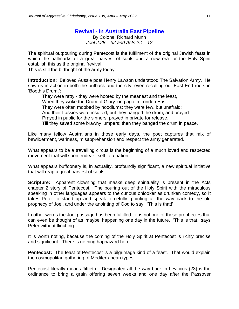# **Revival - In Australia East Pipeline**

By Colonel Richard Munn *Joel 2:28 – 32 and Acts 2:1 - 12*

The spiritual outpouring during Pentecost is the fulfilment of the original Jewish feast in which the hallmarks of a great harvest of souls and a new era for the Holy Spirit establish this as the original 'revival.'

This is still the birthright of the army today.

**Introduction:** Beloved Aussie poet Henry Lawson understood The Salvation Army. He saw us in action in both the outback and the city, even recalling our East End roots in 'Booth's Drum.':

They were ratty - they were hooted by the meanest and the least, When they woke the Drum of Glory long ago in London East. They were often mobbed by hoodlums; they were few, but unafraid; And their Lassies were insulted, but they banged the drum, and prayed - Prayed in public for the sinners, prayed in private for release,

Till they saved some brawny lumpers; then they banged the drum in peace.

Like many fellow Australians in those early days, the poet captures that mix of bewilderment, wariness, misapprehension and respect the army generated.

What appears to be a travelling circus is the beginning of a much loved and respected movement that will soon endear itself to a nation.

What appears buffoonery is, in actuality, profoundly significant, a new spiritual initiative that will reap a great harvest of souls.

**Scripture:** Apparent clowning that masks deep spirituality is present in the Acts chapter 2 story of Pentecost. The pouring out of the Holy Spirit with the miraculous speaking in other languages appears to the curious onlooker as drunken comedy, so it takes Peter to stand up and speak forcefully, pointing all the way back to the old prophecy of Joel, and under the anointing of God to say: 'This is that!'

In other words the Joel passage has been fulfilled - it is not one of those prophecies that can even be thought of as 'maybe' happening one day in the future. 'This is that,' says Peter without flinching.

It is worth noting, because the coming of the Holy Spirit at Pentecost is richly precise and significant. There is nothing haphazard here.

**Pentecost:** The feast of Pentecost is a pilgrimage kind of a feast. That would explain the cosmopolitan gathering of Mediterranean types.

Pentecost literally means 'fiftieth.' Designated all the way back in Leviticus (23) is the ordinance to bring a grain offering seven weeks and one day after the Passover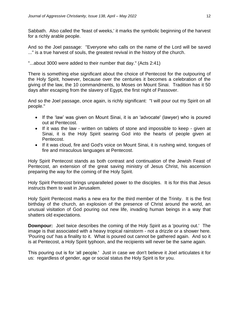Sabbath. Also called the 'feast of weeks,' it marks the symbolic beginning of the harvest for a richly arable people.

And so the Joel passage: "Everyone who calls on the name of the Lord will be saved ..." is a true harvest of souls, the greatest revival in the history of the church.

"...about 3000 were added to their number that day." (Acts 2:41)

There is something else significant about the choice of Pentecost for the outpouring of the Holy Spirit, however, because over the centuries it becomes a celebration of the giving of the law, the 10 commandments, to Moses on Mount Sinai. Tradition has it 50 days after escaping from the slavery of Egypt, the first night of Passover.

And so the Joel passage, once again, is richly significant: "I will pour out my Spirit on all people."

- If the 'law' was given on Mount Sinai, it is an 'advocate' (lawyer) who is poured out at Pentecost.
- If it was the law written on tablets of stone and impossible to keep given at Sinai, it is the Holy Spirit searing God into the hearts of people given at Pentecost.
- If it was cloud, fire and God's voice on Mount Sinai, it is rushing wind, tongues of fire and miraculous languages at Pentecost.

Holy Spirit Pentecost stands as both contrast and continuation of the Jewish Feast of Pentecost, an extension of the great saving ministry of Jesus Christ, his ascension preparing the way for the coming of the Holy Spirit.

Holy Spirit Pentecost brings unparalleled power to the disciples. It is for this that Jesus instructs them to wait in Jerusalem.

Holy Spirit Pentecost marks a new era for the third member of the Trinity. It is the first birthday of the church, an explosion of the presence of Christ around the world, an unusual visitation of God pouring out new life, invading human beings in a way that shatters old expectations.

**Downpour:** Joel twice describes the coming of the Holy Spirit as a 'pouring out.' The image is that associated with a heavy tropical rainstorm - not a drizzle or a shower here. 'Pouring out' has a finality to it. What is poured out cannot be gathered again. And so it is at Pentecost, a Holy Spirit typhoon, and the recipients will never be the same again.

This pouring out is for 'all people.' Just in case we don't believe it Joel articulates it for us: regardless of gender, age or social status the Holy Spirit is for you.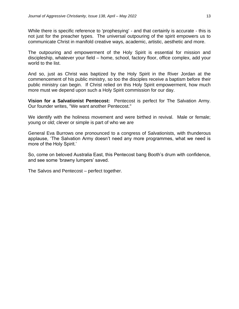While there is specific reference to 'prophesying' - and that certainly is accurate - this is not just for the preacher types. The universal outpouring of the spirit empowers us to communicate Christ in manifold creative ways, academic, artistic, aesthetic and more.

The outpouring and empowerment of the Holy Spirit is essential for mission and discipleship, whatever your field – home, school, factory floor, office complex, add your world to the list.

And so, just as Christ was baptized by the Holy Spirit in the River Jordan at the commencement of his public ministry, so too the disciples receive a baptism before their public ministry can begin. If Christ relied on this Holy Spirit empowerment, how much more must we depend upon such a Holy Spirit commission for our day.

**Vision for a Salvationist Pentecost:** Pentecost is perfect for The Salvation Army. Our founder writes, "We want another Pentecost."

We identify with the holiness movement and were birthed in revival. Male or female; young or old; clever or simple is part of who we are

General Eva Burrows one pronounced to a congress of Salvationists, with thunderous applause, 'The Salvation Army doesn't need any more programmes, what we need is more of the Holy Spirit.'

So, come on beloved Australia East, this Pentecost bang Booth's drum with confidence, and see some 'brawny lumpers' saved.

The Salvos and Pentecost – perfect together.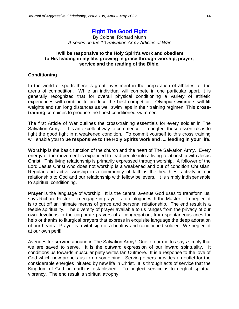# **Fight The Good Fight**

By Colonel Richard Munn *A series on the 10 Salvation Army Articles of War*

#### **I will be responsive to the Holy Spirit's work and obedient to His leading in my life, growing in grace through worship, prayer, service and the reading of the Bible.**

#### **Conditioning**

In the world of sports there is great investment in the preparation of athletes for the arena of competition. While an individual will compete in one particular sport, it is generally recognized that for overall physical conditioning a variety of athletic experiences will combine to produce the best competitor. Olympic swimmers will lift weights and run long distances as well swim laps in their training regimen. This **crosstraining** combines to produce the finest conditioned swimmer.

The first Article of War outlines the cross-training essentials for every soldier in The Salvation Army. It is an excellent way to commence. To neglect these essentials is to fight the good fight in a weakened condition. To commit yourself to this cross training will enable you to **be responsive to the Holy Spirits work and .... leading in your life.**

**Worship** is the basic function of the church and the heart of The Salvation Army. Every energy of the movement is expended to lead people into a living relationship with Jesus Christ. This living relationship is primarily expressed through worship. A follower of the Lord Jesus Christ who does not worship is a weakened and out of condition Christian. Regular and active worship in a community of faith is the healthiest activity in our relationship to God and our relationship with fellow believers. It is simply indispensable to spiritual conditioning.

**Prayer** is the language of worship. It is the central avenue God uses to transform us, says Richard Foster. To engage in prayer is to dialogue with the Master. To neglect it is to cut off an intimate means of grace and personal relationship. The end result is a feeble spirituality. The diversity of prayer available to us ranges from the privacy of our own devotions to the corporate prayers of a congregation, from spontaneous cries for help or thanks to liturgical prayers that express in exquisite language the deep adoration of our hearts. Prayer is a vital sign of a healthy and conditioned soldier. We neglect it at our own peril!

Avenues for **service** abound in The Salvation Army! One of our mottos says simply that we are saved to serve. It is the outward expression of our inward spirituality. It conditions us towards muscular piety writes Ian Cutmore. It is a response to the love of God which now propels us to do something. Serving others provides an outlet for the considerable energies initiated by new life in Christ. It is through acts of service that the Kingdom of God on earth is established. To neglect service is to neglect spiritual vibrancy. The end result is spiritual atrophy.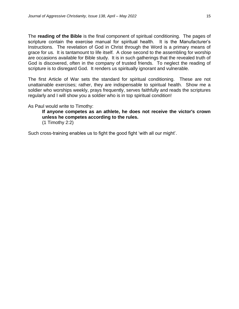The **reading of the Bible** is the final component of spiritual conditioning. The pages of scripture contain the exercise manual for spiritual health. It is the Manufacturer's Instructions. The revelation of God in Christ through the Word is a primary means of grace for us. It is tantamount to life itself. A close second to the assembling for worship are occasions available for Bible study. It is in such gatherings that the revealed truth of God is discovered, often in the company of trusted friends. To neglect the reading of scripture is to disregard God. It renders us spiritually ignorant and vulnerable.

The first Article of War sets the standard for spiritual conditioning. These are not unattainable exercises; rather, they are indispensable to spiritual health. Show me a soldier who worships weekly, prays frequently, serves faithfully and reads the scriptures regularly and I will show you a soldier who is in top spiritual condition!

As Paul would write to Timothy:

**If anyone competes as an athlete, he does not receive the victor's crown unless he competes according to the rules.** (1 Timothy 2:2)

Such cross-training enables us to fight the good fight 'with all our might'.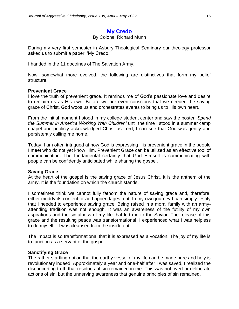# **My Credo**

#### By Colonel Richard Munn

During my very first semester in Asbury Theological Seminary our theology professor asked us to submit a paper, 'My Credo.'

I handed in the 11 doctrines of The Salvation Army.

Now, somewhat more evolved, the following are distinctives that form my belief structure.

#### **Prevenient Grace**

I love the truth of prevenient grace. It reminds me of God's passionate love and desire to reclaim us as His own. Before we are even conscious that we needed the saving grace of Christ, God woos us and orchestrates events to bring us to His own heart.

From the initial moment I stood in my college student center and saw the poster *'Spend the Summer in America Working With Children'* until the time I stood in a summer camp chapel and publicly acknowledged Christ as Lord, I can see that God was gently and persistently calling me home.

Today, I am often intrigued at how God is expressing His prevenient grace in the people I meet who do not yet know Him. Prevenient Grace can be utilized as an effective tool of communication. The fundamental certainty that God Himself is communicating with people can be confidently anticipated while sharing the gospel.

#### **Saving Grace**

At the heart of the gospel is the saving grace of Jesus Christ. It is the anthem of the army. It is the foundation on which the church stands.

I sometimes think we cannot fully fathom the nature of saving grace and, therefore, either muddy its content or add appendages to it. In my own journey I can simply testify that I needed to experience saving grace. Being raised in a moral family with an armyattending tradition was not enough. It was an awareness of the futility of my own aspirations and the sinfulness of my life that led me to the Savior. The release of this grace and the resulting peace was transformational. I experienced what I was helpless to do myself – I was cleansed from the inside out.

The impact is so transformational that it is expressed as a vocation. The joy of my life is to function as a servant of the gospel.

#### **Sanctifying Grace**

The rather startling notion that the earthy vessel of my life can be made pure and holy is revolutionary indeed! Approximately a year and one-half after I was saved, I realized the disconcerting truth that residues of sin remained in me. This was not overt or deliberate actions of sin, but the unnerving awareness that genuine principles of sin remained.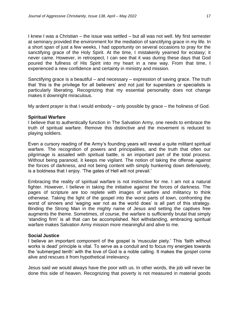I knew I was a Christian – the issue was settled – but all was not well. My first semester at seminary provided the environment for the mediation of sanctifying grace in my life. In a short span of just a few weeks, I had opportunity on several occasions to pray for the sanctifying grace of the Holy Spirit. At the time, I mistakenly yearned for ecstasy; it never came. However, in retrospect, I can see that it was during these days that God poured the fullness of His Spirit into my heart in a new way. From that time, I experienced a new confidence and certainty in ministry and mission.

Sanctifying grace is a beautiful – and necessary – expression of saving grace. The truth that 'this is the privilege for all believers' and not just for superstars or specialists is particularly liberating. Recognizing that my essential personality does not change makes it downright miraculous.

My ardent prayer is that I would embody – only possible by grace – the holiness of God.

#### **Spiritual Warfare**

I believe that to authentically function in The Salvation Army, one needs to embrace the truth of spiritual warfare. Remove this distinctive and the movement is reduced to playing soldiers.

Even a cursory reading of the Army's founding years will reveal a quite militant spiritual warfare. The recognition of powers and principalities, and the truth that often our pilgrimage is assailed with spiritual battle, is an important part of the total process. Without being paranoid, it keeps me vigilant. The notion of taking the offense against the forces of darkness, and not being content with simply hunkering down defensively, is a boldness that I enjoy. 'The gates of Hell will not prevail.'

Embracing the reality of spiritual warfare is not instinctive for me. I am not a natural fighter. However, I believe in taking the initiative against the forces of darkness. The pages of scripture are too replete with images of warfare and militancy to think otherwise. Taking the light of the gospel into the worst parts of town, confronting the worst of sinners and 'waging war not as the world does' is all part of this strategy. Binding the Strong Man in the mighty name of Jesus and setting the captives free augments the theme. Sometimes, of course, the warfare is sufficiently brutal that simply 'standing firm' is all that can be accomplished. Not withstanding, embracing spiritual warfare makes Salvation Army mission more meaningful and alive to me.

#### **Social Justice**

I believe an important component of the gospel is 'muscular piety.' This 'faith without works is dead' principle is vital. To serve as a conduit and to focus my energies towards the 'submerged tenth' with the love of God is a noble calling. It makes the gospel come alive and rescues it from hypothetical irrelevancy.

Jesus said we would always have the poor with us. In other words, the job will never be done this side of heaven. Recognizing that poverty is not measured in material goods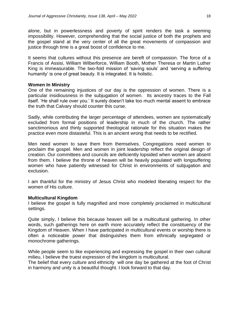alone, but in powerlessness and poverty of spirit renders the task a seeming impossibility. However, comprehending that the social justice of both the prophets and the gospel stand at the very center of all the great movements of compassion and justice through time is a great boost of confidence to me.

It seems that cultures without this presence are bereft of compassion. The force of a Francis of Assisi, William Wilberforce, William Booth, Mother Theresa or Martin Luther King is immeasurable. The two-fold mission of 'saving souls' and 'serving a suffering humanity' is one of great beauty. It is integrated. It is holistic.

#### **Women In Ministry**

One of the remaining injustices of our day is the oppression of women. There is a particular insidiousness in the subjugation of women. Its ancestry traces to the Fall itself. 'He shall rule over you.' It surely doesn't take too much mental assent to embrace the truth that Calvary should counter this curse.

Sadly, while contributing the larger percentage of attendees, women are systematically excluded from formal positions of leadership in much of the church. The rather sanctimonious and thinly supported theological rationale for this situation makes the practice even more distasteful. This is an ancient wrong that needs to be rectified.

Men need women to save them from themselves. Congregations need women to proclaim the gospel. Men and women in joint leadership reflect the original design of creation. Our committees and councils are deficiently lopsided when women are absent from them. I believe the throne of heaven will be heavily populated with longsuffering women who have patiently witnessed for Christ in environments of subjugation and exclusion.

I am thankful for the ministry of Jesus Christ who modeled liberating respect for the women of His culture.

#### **Multicultural Kingdom**

I believe the gospel is fully magnified and more completely proclaimed in multicultural settings.

Quite simply, I believe this because heaven will be a multicultural gathering. In other words, such gatherings here on earth more accurately reflect the constituency of the Kingdom of Heaven. When I have participated in multicultural events or worship there is often a noticeable power that distinguishes them from ethnically segregated or monochrome gatherings.

While people seem to like experiencing and expressing the gospel in their own cultural milieu, I believe the truest expression of the kingdom is multicultural.

The belief that every culture and ethnicity will one day be gathered at the foot of Christ in harmony and unity is a beautiful thought. I look forward to that day.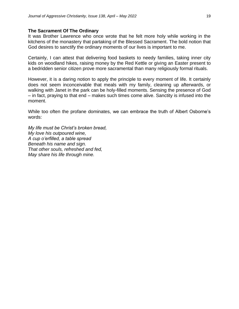#### **The Sacrament Of The Ordinary**

It was Brother Lawrence who once wrote that he felt more holy while working in the kitchens of the monastery that partaking of the Blessed Sacrament. The bold notion that God desires to sanctify the ordinary moments of our lives is important to me.

Certainly, I can attest that delivering food baskets to needy families, taking inner city kids on woodland hikes, raising money by the Red Kettle or giving an Easter present to a bedridden senior citizen prove more sacramental than many religiously formal rituals.

However, it is a daring notion to apply the principle to every moment of life. It certainly does not seem inconceivable that meals with my family, cleaning up afterwards, or walking with Janet in the park can be holy-filled moments. Sensing the presence of God – in fact, praying to that end – makes such times come alive. Sanctity is infused into the moment.

While too often the profane dominates, we can embrace the truth of Albert Osborne's words:

*My life must be Christ's broken bread, My love his outpoured wine, A cup o'erfilled, a table spread Beneath his name and sign. That other souls, refreshed and fed, May share his life through mine.*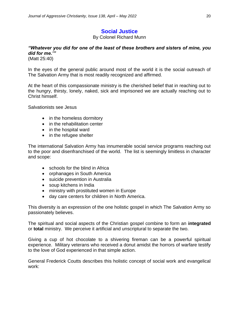# **Social Justice**

By Colonel Richard Munn

# *"Whatever you did for one of the least of these brothers and sisters of mine, you did for me.'"*

(Matt 25:40)

In the eyes of the general public around most of the world it is the social outreach of The Salvation Army that is most readily recognized and affirmed.

At the heart of this compassionate ministry is the cherished belief that in reaching out to the hungry, thirsty, lonely, naked, sick and imprisoned we are actually reaching out to Christ himself.

Salvationists see Jesus

- in the homeless dormitory
- in the rehabilitation center
- in the hospital ward
- in the refugee shelter

The international Salvation Army has innumerable social service programs reaching out to the poor and disenfranchised of the world. The list is seemingly limitless in character and scope:

- schools for the blind in Africa
- orphanages in South America
- suicide prevention in Australia
- soup kitchens in India
- ministry with prostituted women in Europe
- day care centers for children in North America.

This diversity is an expression of the one holistic gospel in which The Salvation Army so passionately believes.

The spiritual and social aspects of the Christian gospel combine to form an **integrated**  or **total** ministry. We perceive it artificial and unscriptural to separate the two.

Giving a cup of hot chocolate to a shivering fireman can be a powerful spiritual experience. Military veterans who received a donut amidst the horrors of warfare testify to the love of God experienced in that simple action.

General Frederick Coutts describes this holistic concept of social work and evangelical work: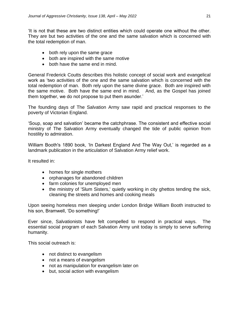'It is not that these are two distinct entities which could operate one without the other. They are but two activities of the one and the same salvation which is concerned with the total redemption of man.

- both rely upon the same grace
- both are inspired with the same motive
- both have the same end in mind.

General Frederick Coutts describes this holistic concept of social work and evangelical work as 'two activities of the one and the same salvation which is concerned with the total redemption of man. Both rely upon the same divine grace. Both are inspired with the same motive. Both have the same end in mind. And, as the Gospel has joined them together, we do not propose to put them asunder.'

The founding days of The Salvation Army saw rapid and practical responses to the poverty of Victorian England.

'Soup, soap and salvation' became the catchphrase. The consistent and effective social ministry of The Salvation Army eventually changed the tide of public opinion from hostility to admiration.

William Booth's 1890 book, 'In Darkest England And The Way Out,' is regarded as a landmark publication in the articulation of Salvation Army relief work.

It resulted in:

- homes for single mothers
- orphanages for abandoned children
- farm colonies for unemployed men
- the ministry of 'Slum Sisters,' quietly working in city ghettos tending the sick, cleaning the streets and homes and cooking meals

Upon seeing homeless men sleeping under London Bridge William Booth instructed to his son, Bramwell, 'Do something!'

Ever since, Salvationists have felt compelled to respond in practical ways. The essential social program of each Salvation Army unit today is simply to serve suffering humanity.

This social outreach is:

- not distinct to evangelism
- not a means of evangelism
- not as manipulation for evangelism later on
- but, social action with evangelism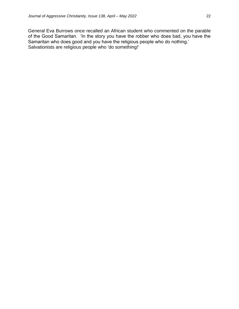General Eva Burrows once recalled an African student who commented on the parable of the Good Samaritan. 'In the story you have the robber who does bad, you have the Samaritan who does good and you have the religious people who do nothing.' Salvationists are religious people who 'do something!'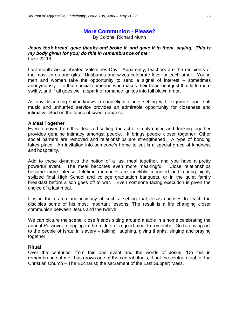# **More Communion - Please?**

By Colonel Richard Munn

#### *Jesus took bread, gave thanks and broke it, and gave it to them, saying, 'This is my body given for you; do this in remembrance of me.'* Luke 22:19

Last month we celebrated Valentines Day. Apparently, teachers are the recipients of the most cards and gifts. Husbands and wives celebrate love for each other. Young men and women take the opportunity to send a signal of interest – sometimes anonymously – to that special someone who makes their heart beat just that little more swiftly, and if all goes well a spark of romance ignites into full blown ardor.

As any discerning suitor knows a candlelight dinner setting with exquisite food, soft music and unhurried service provides an admirable opportunity for closeness and intimacy. Such is the fabric of sweet romance!

#### **A Meal Together**

Even removed from this idealized setting, the act of simply eating and drinking together provides genuine intimacy amongst people. It brings people closer together. Other social barriers are removed and relationships are strengthened. A type of bonding takes place. An invitation into someone's home to eat is a special grace of kindness and hospitality.

Add to these dynamics the notion of a last meal together, and you have a pretty powerful event. The meal becomes even more meaningful. Close relationships become more intense. Lifetime memories are indelibly imprinted both during highly stylized final High School and college graduation banquets, or in the quiet family breakfast before a son goes off to war. Even someone facing execution is given the choice of a last meal.

It is in the drama and intimacy of such a setting that Jesus chooses to teach the disciples some of his most important lessons. The result is a life changing closer communion between Jesus and the twelve.

We can picture the scene; close friends sitting around a table in a home celebrating the annual Passover, stopping in the middle of a good meal to remember God's saving act to the people of Israel in slavery – talking, laughing, giving thanks, singing and praying together.

#### **Ritual**

Over the centuries, from this one event and the words of Jesus, 'Do this in remembrance of me,' has grown one of the central rituals, if not the central ritual, of the Christian Church – The Eucharist; the sacrament of the Last Supper; Mass.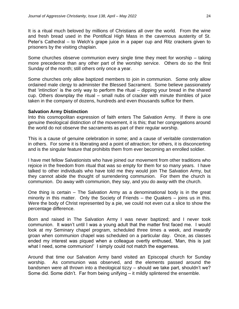It is a ritual much beloved by millions of Christians all over the world. From the wine and fresh bread used in the Pontifical High Mass in the cavernous austerity of St. Peter's Cathedral – to Welch's grape juice in a paper cup and Ritz crackers given to prisoners by the visiting chaplain.

Some churches observe communion every single time they meet for worship – taking more precedence than any other part of the worship service. Others do so the first Sunday of the month; still others only once a year.

Some churches only allow baptized members to join in communion. Some only allow ordained male clergy to administer the Blessed Sacrament. Some believe passionately that 'intinction' is the only way to perform the ritual – dipping your bread in the shared cup. Others downplay the ritual – small nubs of cracker with minute thimbles of juice taken in the company of dozens, hundreds and even thousands suffice for them.

#### **Salvation Army Distinction**

Into this cosmopolitan expression of faith enters The Salvation Army. If there is one genuine theological distinction of the movement, it is this; that her congregations around the world do not observe the sacraments as part of their regular worship.

This is a cause of genuine celebration in some; and a cause of veritable consternation in others. For some it is liberating and a point of attraction; for others, it is disconcerting and is the singular feature that prohibits them from ever becoming an enrolled soldier.

I have met fellow Salvationists who have joined our movement from other traditions who rejoice in the freedom from ritual that was so empty for them for so many years. I have talked to other individuals who have told me they would join The Salvation Army, but they cannot abide the thought of surrendering communion. For them the church is communion. Do away with communion, they say, and you do away with the church.

One thing is certain – The Salvation Army as a denominational body is in the great minority in this matter. Only the Society of Friends – the Quakers – joins us in this. Were the body of Christ represented by a pie, we could not even cut a slice to show the percentage difference.

Born and raised in The Salvation Army I was never baptized; and I never took communion. It wasn't until I was a young adult that the matter first faced me. I would look at my Seminary chapel program, scheduled three times a week, and inwardly groan when communion chapel was scheduled on a particular day. Once, as classes ended my interest was piqued when a colleague overtly enthused, 'Man, this is just what I need, some communion!' I simply could not match the eagerness.

Around that time our Salvation Army band visited an Episcopal church for Sunday worship. As communion was observed, and the elements passed around the bandsmen were all thrown into a theological tizzy – should we take part, shouldn't we? Some did. Some didn't. Far from being unifying – it mildly splintered the ensemble.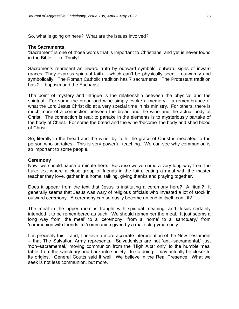So, what is going on here? What are the issues involved?

#### **The Sacraments**

'Sacrament' is one of those words that is important to Christians, and yet is never found in the Bible – like Trinity!

Sacraments represent an inward truth by outward symbols; outward signs of inward graces. They express spiritual faith – which can't be physically seen – outwardly and symbolically. The Roman Catholic tradition has 7 sacraments. The Protestant tradition has 2 – baptism and the Eucharist.

The point of mystery and intrigue is the relationship between the physical and the spiritual. For some the bread and wine simply evoke a memory – a remembrance of what the Lord Jesus Christ did at a very special time in his ministry. For others, there is much more of a connection between the bread and the wine and the actual body of Christ. The connection is real; to partake in the elements is to mysteriously partake of the body of Christ. For some the bread and the wine 'become' the body and shed blood of Christ.

So, literally in the bread and the wine, by faith, the grace of Christ is mediated to the person who partakes. This is very powerful teaching. We can see why communion is so important to some people.

#### **Ceremony**

Now, we should pause a minute here. Because we've come a very long way from the Luke text where a close group of friends in the faith, eating a meal with the master teacher they love, gather in a home, talking, giving thanks and praying together.

Does it appear from the text that Jesus is instituting a ceremony here? A ritual? It generally seems that Jesus was wary of religious officials who invested a lot of stock in outward ceremony. A ceremony can so easily become an end in itself, can't it?

The meal in the upper room is fraught with spiritual meaning, and Jesus certainly intended it to be remembered as such. We should remember the meal. It just seems a long way from 'the meal' to a 'ceremony,' from a 'home' to a 'sanctuary,' from 'communion with friends' to 'communion given by a male clergyman only.'

It is precisely this – and, I believe a more accurate interpretation of the New Testament – that The Salvation Army represents. Salvationists are not 'anti–sacramental,' just 'non–sacramental,' moving communion from the 'High Altar only' to the humble meal table; from the sanctuary and back into society. In so doing it may actually be closer to its origins. General Coutts said it well; 'We believe in the Real Presence.' What we seek is not less communion, but more.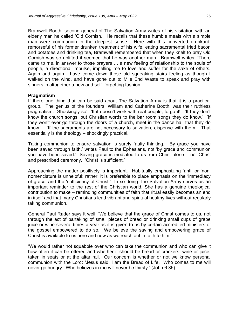Bramwell Booth, second general of The Salvation Army writes of his visitation with an elderly man he called 'Old Cornish.' He recalls that these humble meals with a simple man were communion in the deepest sense. Here with this converted drunkard, remorseful of his former drunken treatment of his wife, eating sacramental fried bacon and potatoes and drinking tea, Bramwell remembered that when they knelt to pray Old Cornish was so uplifted it seemed that he was another man. Bramwell writes, 'There came to me, in answer to those prayers … a new feeling of relationship to the souls of people, a directional impulse, impelling me to love and suffer for the sake of others. Again and again I have come down those old squeaking stairs feeling as though I walked on the wind, and have gone out to Mile End Waste to speak and pray with sinners in altogether a new and self–forgetting fashion.'

#### **Pragmatism**

If there one thing that can be said about The Salvation Army is that it is a practical group. The genius of the founders, William and Catherine Booth, was their ruthless pragmatism. Shockingly so! 'If it doesn't work with real people, forgo it!' 'If they don't know the church songs, put Christian words to the bar room songs they do know.' 'If they won't ever go through the doors of a church, meet in the dance hall that they do know.' 'If the sacraments are not necessary to salvation, dispense with them.' That essentially is the theology – shockingly practical.

Taking communion to ensure salvation is surely faulty thinking. 'By grace you have been saved through faith,' writes Paul to the Ephesians, not 'by grace and communion you have been saved.' Saving grace is mediated to us from Christ alone – not Christ and prescribed ceremony. 'Christ is sufficient.'

Approaching the matter positively is important. Habitually emphasizing 'anti' or 'non' nomenclature is unhelpful; rather, it is preferable to place emphasis on the 'immediacy of grace' and the 'sufficiency of Christ.' In so doing The Salvation Army serves as an important reminder to the rest of the Christian world. She has a genuine theological contribution to make – reminding communities of faith that ritual easily becomes an end in itself and that many Christians lead vibrant and spiritual healthy lives without regularly taking communion.

General Paul Rader says it well: 'We believe that the grace of Christ comes to us, not through the act of partaking of small pieces of bread or drinking small cups of grape juice or wine several times a year as it is given to us by certain accredited ministers of the gospel empowered to do so. We believe the saving and empowering grace of Christ is available to us here and now as we reach out in faith to him.'

'We would rather not squabble over who can take the communion and who can give it how often it can be offered and whether it should be bread or crackers, wine or juice, taken in seats or at the altar rail. Our concern is whether or not we know personal communion with the Lord: 'Jesus said, I am the Bread of Life. Who comes to me will never go hungry. Who believes in me will never be thirsty.' (John 6:35)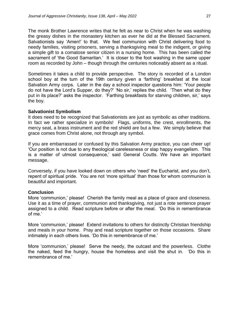The monk Brother Lawrence writes that he felt as near to Christ when he was washing the greasy dishes in the monastery kitchen as ever he did at the Blessed Sacrament. Salvationists say 'Amen!' to that. We feel communion with Christ delivering food to needy families, visiting prisoners, serving a thanksgiving meal to the indigent, or giving a simple gift to a comatose senior citizen in a nursing home. This has been called the sacrament of 'the Good Samaritan.' It is closer to the foot washing in the same upper room as recorded by John – though through the centuries noticeably absent as a ritual.

Sometimes it takes a child to provide perspective. The story is recorded of a London school boy at the turn of the 19th century given a 'farthing' breakfast at the local Salvation Army corps. Later in the day a school inspector questions him: 'Your people do not have the Lord's Supper, do they?' 'No sir,' replies the child. 'Then what do they put in its place?' asks the inspector. 'Farthing breakfasts for starving children, sir,' says the boy.

#### **Salvationist Symbolism**

It does need to be recognized that Salvationists are just as symbolic as other traditions. In fact we rather specialize in symbols! Flags, uniforms, the crest, enrollments, the mercy seat, a brass instrument and the red shield are but a few. We simply believe that grace comes from Christ alone, not through any symbol.

If you are embarrassed or confused by this Salvation Army practice, you can cheer up! 'Our position is not due to any theological carelessness or slap happy evangelism. This is a matter of utmost consequence,' said General Coutts. We have an important message.

Conversely, if you have looked down on others who 'need' the Eucharist, and you don't, repent of spiritual pride. You are not 'more spiritual' than those for whom communion is beautiful and important.

#### **Conclusion**

More 'communion,' please! Cherish the family meal as a place of grace and closeness. Use it as a time of prayer, communion and thanksgiving, not just a rote sentence prayer assigned to a child. Read scripture before or after the meal. 'Do this in remembrance of me.'

More 'communion,' please! Extend invitations to others for distinctly Christian friendship and meals in your home. Pray and read scripture together on those occasions. Share intimately in each others lives. 'Do this in remembrance of me.'

More 'communion,' please! Serve the needy, the outcast and the powerless. Clothe the naked, feed the hungry, house the homeless and visit the shut in. 'Do this in remembrance of me.'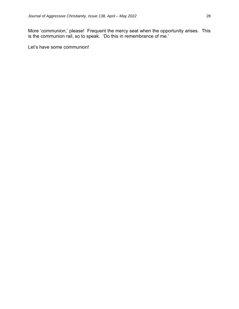More 'communion,' please! Frequent the mercy seat when the opportunity arises. This is the communion rail, so to speak. 'Do this in remembrance of me.'

Let's have some communion!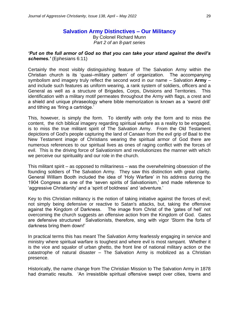# **Salvation Army Distinctives – Our Militancy**

By Colonel Richard Munn *Part 2 of an 8-part series*

*'Put on the full armor of God so that you can take your stand against the devil's schemes.'* (Ephesians 6:11)

Certainly the most visibly distinguishing feature of The Salvation Army within the Christian church is its 'quasi–military pattern' of organization. The accompanying symbolism and imagery truly reflect the second word in our name – Salvation **Army** – and include such features as uniform wearing, a rank system of soldiers, officers and a General as well as a structure of Brigades, Corps, Divisions and Territories. This identification with a military motif permeates throughout the Army with flags, a crest and a shield and unique phraseology where bible memorization is known as a 'sword drill' and tithing as 'firing a cartridge.'

This, however, is simply the form. To identify with only the form and to miss the content, the rich biblical imagery regarding spiritual warfare as a reality to be engaged, is to miss the true militant spirit of The Salvation Army. From the Old Testament depictions of God's people capturing the land of Canaan from the evil grip of Baal to the New Testament image of Christians wearing the spiritual armor of God there are numerous references to our spiritual lives as ones of raging conflict with the forces of evil. This is the driving force of Salvationism and revolutionizes the manner with which we perceive our spirituality and our role in the church.

This militant spirit – as opposed to militariness – was the overwhelming obsession of the founding soldiers of The Salvation Army. They saw this distinction with great clarity. General William Booth included the idea of 'Holy Warfare' in his address during the 1904 Congress as one of the 'seven spirits of Salvationism,' and made reference to 'aggressive Christianity' and a 'spirit of boldness' and 'adventure.'

Key to this Christian militancy is the notion of taking initiative against the forces of evil; not simply being defensive or reactive to Satan's attacks, but, taking the offensive against the Kingdom of Darkness. The image from Christ of the 'gates of hell' not overcoming the church suggests an offensive action from the Kingdom of God. Gates are defensive structures! Salvationists, therefore, sing with vigor 'Storm the forts of darkness bring them down!'

In practical terms this has meant The Salvation Army fearlessly engaging in service and ministry where spiritual warfare is toughest and where evil is most rampant. Whether it is the vice and squalor of urban ghetto, the front line of national military action or the catastrophe of natural disaster – The Salvation Army is mobilized as a Christian presence.

Historically, the name change from The Christian Mission to The Salvation Army in 1878 had dramatic results. 'An irresistible spiritual offensive swept over cities, towns and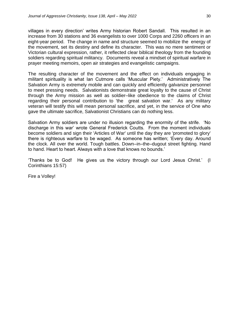villages in every direction' writes Army historian Robert Sandall. This resulted in an increase from 30 stations and 36 evangelists to over 1000 Corps and 2260 officers in an eight-year period. The change in name and structure seemed to mobilize the energy of the movement, set its destiny and define its character. This was no mere sentiment or Victorian cultural expression, rather, it reflected clear biblical theology from the founding soldiers regarding spiritual militancy. Documents reveal a mindset of spiritual warfare in prayer meeting memoirs, open air strategies and evangelistic campaigns.

The resulting character of the movement and the effect on individuals engaging in militant spirituality is what Ian Cutmore calls 'Muscular Piety.' Administratively The Salvation Army is extremely mobile and can quickly and efficiently galvanize personnel to meet pressing needs. Salvationists demonstrate great loyalty to the cause of Christ through the Army mission as well as soldier–like obedience to the claims of Christ regarding their personal contribution to 'the great salvation war.' As any military veteran will testify this will mean personal sacrifice, and yet, in the service of One who gave the ultimate sacrifice, Salvationist Christians can do nothing less.

Salvation Army soldiers are under no illusion regarding the enormity of the strife. 'No discharge in this war' wrote General Frederick Coutts. From the moment individuals become soldiers and sign their 'Articles of War' until the day they are 'promoted to glory' there is righteous warfare to be waged. As someone has written; 'Every day. Around the clock. All over the world. Tough battles. Down–in–the–dugout street fighting. Hand to hand. Heart to heart. Always with a love that knows no bounds.'

'Thanks be to God! He gives us the victory through our Lord Jesus Christ.' (I Corinthians 15:57)

Fire a Volley!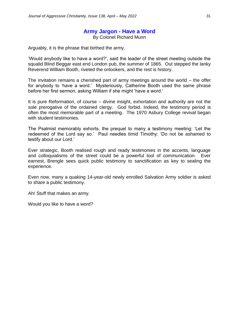# **Army Jargon - Have a Word**

By Colonel Richard Munn

Arguably, it is the phrase that birthed the army.

'Would anybody like to have a word?', said the leader of the street meeting outside the squalid Blind Beggar east end London pub, the summer of 1865. Out stepped the lanky Reverend William Booth, riveted the onlookers, and the rest is history.

The invitation remains a cherished part of army meetings around the world – the offer for anybody to 'have a word.' Mysteriously, Catherine Booth used the same phrase before her first sermon, asking William if she might 'have a word.'

It is pure Reformation, of course – divine insight, exhortation and authority are not the sole prerogative of the ordained clergy. God forbid. Indeed, the testimony period is often the most memorable part of a meeting. The 1970 Asbury College revival began with student testimonies.

The Psalmist memorably exhorts, the prequel to many a testimony meeting: 'Let the redeemed of the Lord say so.' Paul needles timid Timothy: 'Do not be ashamed to testify about our Lord.'

Ever strategic, Booth realised rough and ready testimonies in the accents, language and colloquialisms of the street could be a powerful tool of communication. Ever earnest, Brengle sees quick public testimony to sanctification as key to sealing the experience.

Even now, many a quaking 14-year-old newly enrolled Salvation Army soldier is asked to share a public testimony.

Ah! Stuff that makes an army.

Would you like to have a word?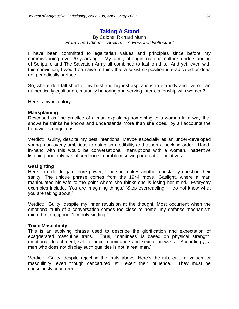# **Taking A Stand**

#### By Colonel Richard Munn *From The Officer – 'Sexism – A Personal Reflection'*

I have been committed to egalitarian values and principles since before my commissioning, over 30 years ago. My family-of-origin, national culture, understanding of Scripture and The Salvation Army all combined to fashion this. And yet, even with this conviction, I would be naive to think that a sexist disposition is eradicated or does not periodically surface.

So, where do I fall short of my best and highest aspirations to embody and live out an authentically egalitarian, mutually honoring and serving interrelationship with women?

Here is my inventory:

#### **Mansplaining**

Described as 'the practice of a man explaining something to a woman in a way that shows he thinks he knows and understands more than she does,' by all accounts the behavior is ubiquitous.

Verdict: Guilty, despite my best intentions. Maybe especially as an under-developed young man overly ambitious to establish credibility and assert a pecking order. Handin-hand with this would be conversational interruptions with a woman, inattentive listening and only partial credence to problem solving or creative initiatives.

#### **Gaslighting**

Here, in order to gain more power, a person makes another constantly question their sanity. The unique phrase comes from the 1944 move, Gaslight, where a man manipulates his wife to the point where she thinks she is losing her mind. Everyday examples include, 'You are imagining things,' 'Stop overreacting,' 'I do not know what you are taking about.'

Verdict: Guilty, despite my inner revulsion at the thought. Most occurrent when the emotional truth of a conversation comes too close to home, my defense mechanism might be to respond, 'I'm only kidding.'

#### **Toxic Masculinity**

This is an evolving phrase used to describe the glorification and expectation of exaggerated masculine traits. Thus, 'manliness' is based on physical strength, emotional detachment, self-reliance, dominance and sexual prowess. Accordingly, a man who does not display such qualities is not 'a real man.'

Verdict: Guilty, despite rejecting the traits above. Here's the rub, cultural values for masculinity, even though caricatured, still exert their influence. They must be consciously countered.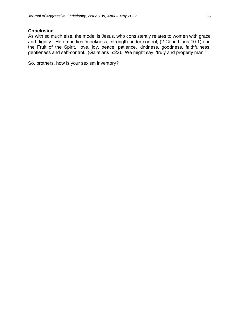#### **Conclusion**

As with so much else, the model is Jesus, who consistently relates to women with grace and dignity. He embodies 'meekness,' strength under control, (2 Corinthians 10:1) and the Fruit of the Spirit, 'love, joy, peace, patience, kindness, goodness, faithfulness, gentleness and self-control.' (Galatians 5:22). We might say, 'truly and properly man.'

So, brothers, how is your sexism inventory?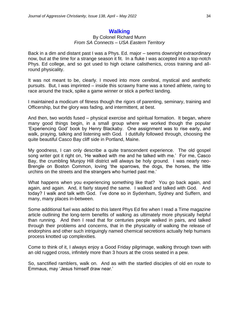## **Walking**

#### By Colonel Richard Munn *From SA Connects – USA Eastern Territory*

Back in a dim and distant past I was a Phys. Ed. major – seems downright extraordinary now, but at the time for a strange season it fit. In a fluke I was accepted into a top-notch Phys. Ed college, and so got used to high octane calisthenics, cross training and allround physicality.

It was not meant to be, clearly. I moved into more cerebral, mystical and aesthetic pursuits. But, I was imprinted – inside this scrawny frame was a toned athlete, raring to race around the track, spike a game winner or stick a perfect landing.

I maintained a modicum of fitness though the rigors of parenting, seminary, training and Officership, but the glory was fading, and intermittent, at best.

And then, two worlds fused – physical exercise and spiritual formation. It began, where many good things begin, in a small group where we worked though the popular 'Experiencing God' book by Henry Blackaby. One assignment was to rise early, and walk, praying, talking and listening with God. I dutifully followed through, choosing the quite beautiful Casco Bay cliff side in Portland, Maine.

My goodness, I can only describe a quite transcendent experience. The old gospel song writer got it right on, 'He walked with me and he talked with me.' For me, Casco Bay, the crumbling Munjoy Hill district will always be holy ground. I was nearly neo-Brengle on Boston Common, loving 'the sparrows, the dogs, the horses, the little urchins on the streets and the strangers who hurried past me.'

What happens when you experiencing something like that? You go back again, and again, and again. And, it fairly stayed the same. I walked and talked with God. And today? I walk and talk with God. I've done so in Sydenham, Sydney and Suffern, and many, many places in-between.

Some additional fuel was added to this latent Phys Ed fire when I read a Time magazine article outlining the long-term benefits of walking as ultimately more physically helpful than running. And then I read that for centuries people walked in pairs, and talked through their problems and concerns, that in the physicality of walking the release of endorphins and other such intriguingly named chemical secretions actually help humans process knotted up complexities.

Come to think of it, I always enjoy a Good Friday pilgrimage, walking through town with an old rugged cross, infinitely more than 3 hours at the cross seated in a pew.

So, sanctified ramblers, walk on. And as with the startled disciples of old en route to Emmaus, may 'Jesus himself draw near.'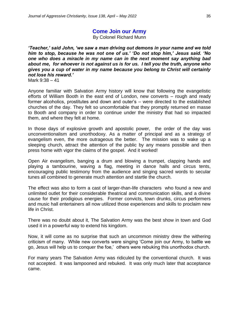# **Come Join our Army**

By Colonel Richard Munn

*'Teacher,' said John, 'we saw a man driving out demons in your name and we told him to stop, because he was not one of us.' 'Do not stop him,' Jesus said. 'No one who does a miracle in my name can in the next moment say anything bad about me, for whoever is not against us is for us. I tell you the truth, anyone who gives you a cup of water in my name because you belong to Christ will certainly not lose his reward.'* 

Mark 9:38 – 41

Anyone familiar with Salvation Army history will know that following the evangelistic efforts of William Booth in the east end of London, new converts – rough and ready former alcoholics, prostitutes and down and outer's – were directed to the established churches of the day. They felt so uncomfortable that they promptly returned en masse to Booth and company in order to continue under the ministry that had so impacted them, and where they felt at home.

In those days of explosive growth and apostolic power, the order of the day was unconventionalism and unorthodoxy. As a matter of principal and as a strategy of evangelism even, the more outrageous the better. The mission was to wake up a sleeping church, attract the attention of the public by any means possible and then press home with vigor the claims of the gospel. And it worked!

Open Air evangelism, banging a drum and blowing a trumpet, clapping hands and playing a tambourine, waving a flag, meeting in dance halls and circus tents, encouraging public testimony from the audience and singing sacred words to secular tunes all combined to generate much attention and startle the church.

The effect was also to form a cast of larger-than-life characters who found a new and unlimited outlet for their considerable theatrical and communication skills, and a divine cause for their prodigious energies. Former convicts, town drunks, circus performers and music hall entertainers all now utilized those experiences and skills to proclaim new life in Christ.

There was no doubt about it, The Salvation Army was the best show in town and God used it in a powerful way to extend his kingdom.

Now, it will come as no surprise that such an uncommon ministry drew the withering criticism of many. While new converts were singing 'Come join our Army, to battle we go, Jesus will help us to conquer the foe,' others were rebuking this unorthodox church.

For many years The Salvation Army was ridiculed by the conventional church. It was not accepted. It was lampooned and rebuked. It was only much later that acceptance came.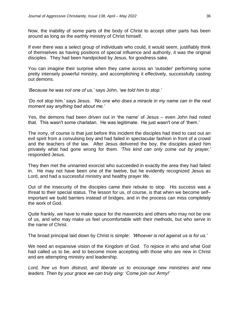Now, the inability of some parts of the body of Christ to accept other parts has been around as long as the earthly ministry of Christ himself.

If ever there was a select group of individuals who could, it would seem, justifiably think of themselves as having positions of special influence and authority, it was the original disciples. They had been handpicked by Jesus, for goodness sake.

You can imagine their surprise when they came across an 'outsider' performing some pretty intensely powerful ministry, and accomplishing it effectively, successfully casting out demons.

*'Because he was not one of us,'* says John, *'we told him to stop.'*

*'Do not stop him,'* says Jesus. *'No one who does a miracle in my name can in the next moment say anything bad about me.'*

Yes, the demons had been driven out in 'the name' of Jesus – even John had noted that. This wasn't some charlatan. He was legitimate. He just wasn't one of 'them.'

The irony, of course is that just before this incident the disciples had tried to cast out an evil spirit from a convulsing boy and had failed in spectacular fashion in front of a crowd and the teachers of the law. After Jesus delivered the boy, the disciples asked him privately what had gone wrong for them. *'This kind can only come out by prayer,'* responded Jesus.

They then met the unnamed exorcist who succeeded in exactly the area they had failed in. He may not have been one of the twelve, but he evidently recognized Jesus as Lord, and had a successful ministry and healthy prayer life.

Out of the insecurity of the disciples came their rebuke to stop. His success was a threat to their special status. The lesson for us, of course, is that when we become self– important we build barriers instead of bridges, and in the process can miss completely the work of God.

Quite frankly, we have to make space for the mavericks and others who may not be one of us, and who may make us feel uncomfortable with their methods, but who serve in the name of Christ.

The broad principal laid down by Christ is simple: *'Whoever is not against us is for us.'*

We need an expansive vision of the Kingdom of God. To rejoice in who and what God had called us to be, and to become more accepting with those who are new in Christ and are attempting ministry and leadership.

*Lord, free us from distrust, and liberate us to encourage new ministries and new leaders. Then by your grace we can truly sing: 'Come join our Army!'*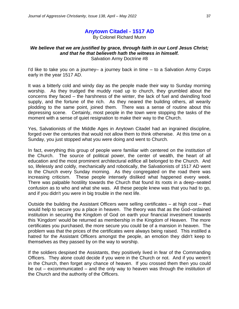# **Anytown Citadel - 1517 AD**

By Colonel Richard Munn

#### *We believe that we are justified by grace, through faith in our Lord Jesus Christ; and that he that believeth hath the witness in himself.* Salvation Army Doctrine #8

I'd like to take you on a journey– a journey back in time – to a Salvation Army Corps early in the year 1517 AD.

It was a bitterly cold and windy day as the people made their way to Sunday morning worship. As they trudged the muddy road up to church, they grumbled about the concerns they faced – the harshness of the winter, the lack of fuel and dwindling food supply, and the fortune of the rich. As they neared the building others, all wearily plodding to the same point, joined them. There was a sense of routine about this depressing scene. Certainly, most people in the town were stopping the tasks of the moment with a sense of quiet resignation to make their way to the Church.

Yes, Salvationists of the Middle Ages in Anytown Citadel had an ingrained discipline, forged over the centuries that would not allow them to think otherwise. At this time on a Sunday, you just stopped what you were doing and went to Church.

In fact, everything this group of people were familiar with centered on the institution of the Church. The source of political power, the center of wealth, the heart of all education and the most prominent architectural edifice all belonged to the Church. And so, lifelessly and coldly, mechanically and robotically, the Salvationists of 1517 AD went to the Church every Sunday morning. As they congregated on the road there was increasing criticism. These people intensely disliked what happened every week. There was palpable hostility towards the Church that found its roots in a deep–seated confusion as to who and what she was. All these people knew was that you had to go, and if you didn't you were in big trouble in the next life.

Outside the building the Assistant Officers were selling certificates – at high cost – that would help to secure you a place in heaven. The theory was that as the God–ordained institution in securing the Kingdom of God on earth your financial investment towards this 'Kingdom' would be returned as membership in the Kingdom of Heaven. The more certificates you purchased, the more secure you could be of a mansion in heaven. The problem was that the prices of the certificates were always being raised. This instilled a hatred for the Assistant Officers amongst the people, an emotion they didn't keep to themselves as they passed by on the way to worship.

If the soldiers despised the Assistants, they positively lived in fear of the Commanding Officers. They alone could decide if you were in the Church or not. And if you weren't in the Church, then forget any chance of heaven. If you crossed them then you could be out – excommunicated – and the only way to heaven was through the institution of the Church and the authority of the Officers.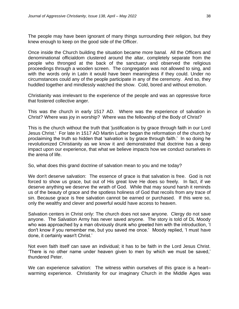The people may have been ignorant of many things surrounding their religion, but they knew enough to keep on the good side of the Officer.

Once inside the Church building the situation became more banal. All the Officers and denominational officialdom clustered around the altar, completely separate from the people who thronged at the back of the sanctuary and observed the religious proceedings through a wooden screen. The congregation was not allowed to sing, and with the words only in Latin it would have been meaningless if they could. Under no circumstances could any of the people participate in any of the ceremony. And so, they huddled together and mindlessly watched the show. Cold, bored and without emotion.

Christianity was irrelevant to the experience of the people and was an oppressive force that fostered collective anger.

This was the church in early 1517 AD. Where was the experience of salvation in Christ? Where was joy in worship? Where was the fellowship of the Body of Christ?

This is the church without the truth that 'justification is by grace through faith in our Lord Jesus Christ.' For late in 1517 AD Martin Luther began the reformation of the church by proclaiming the truth so hidden that 'salvation is by grace through faith.' In so doing he revolutionized Christianity as we know it and demonstrated that doctrine has a deep impact upon our experience, that what we believe impacts how we conduct ourselves in the arena of life.

So, what does this grand doctrine of salvation mean to you and me today?

We don't deserve salvation: The essence of grace is that salvation is free. God is not forced to show us grace, but out of His great love He does so freely. In fact, if we deserve anything we deserve the wrath of God. While that may sound harsh it reminds us of the beauty of grace and the spotless holiness of God that recoils from any trace of sin. Because grace is free salvation cannot be earned or purchased. If this were so, only the wealthy and clever and powerful would have access to heaven.

Salvation centers in Christ only: The church does not save anyone. Clergy do not save anyone. The Salvation Army has never saved anyone. The story is told of DL Moody who was approached by a man obviously drunk who greeted him with the introduction, 'I don't know if you remember me, but you saved me once.' Moody replied, 'I must have done, it certainly wasn't Christ.'

Not even faith itself can save an individual; it has to be faith in the Lord Jesus Christ. 'There is no other name under heaven given to men by which we must be saved,' thundered Peter.

We can experience salvation: The witness within ourselves of this grace is a heart– warming experience. Christianity for our imaginary Church in the Middle Ages was